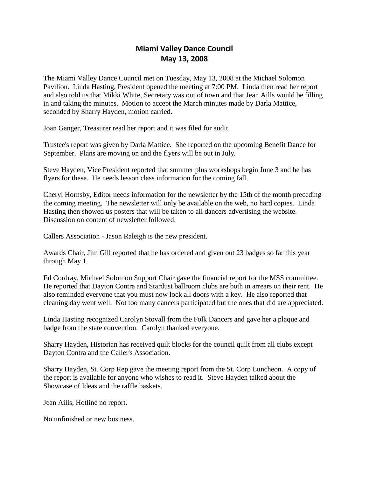## **Miami Valley Dance Council May 13, 2008**

The Miami Valley Dance Council met on Tuesday, May 13, 2008 at the Michael Solomon Pavilion. Linda Hasting, President opened the meeting at 7:00 PM. Linda then read her report and also told us that Mikki White, Secretary was out of town and that Jean Aills would be filling in and taking the minutes. Motion to accept the March minutes made by Darla Mattice, seconded by Sharry Hayden, motion carried.

Joan Ganger, Treasurer read her report and it was filed for audit.

Trustee's report was given by Darla Mattice. She reported on the upcoming Benefit Dance for September. Plans are moving on and the flyers will be out in July.

Steve Hayden, Vice President reported that summer plus workshops begin June 3 and he has flyers for these. He needs lesson class information for the coming fall.

Cheryl Hornsby, Editor needs information for the newsletter by the 15th of the month preceding the coming meeting. The newsletter will only be available on the web, no hard copies. Linda Hasting then showed us posters that will be taken to all dancers advertising the website. Discussion on content of newsletter followed.

Callers Association - Jason Raleigh is the new president.

Awards Chair, Jim Gill reported that he has ordered and given out 23 badges so far this year through May 1.

Ed Cordray, Michael Solomon Support Chair gave the financial report for the MSS committee. He reported that Dayton Contra and Stardust ballroom clubs are both in arrears on their rent. He also reminded everyone that you must now lock all doors with a key. He also reported that cleaning day went well. Not too many dancers participated but the ones that did are appreciated.

Linda Hasting recognized Carolyn Stovall from the Folk Dancers and gave her a plaque and badge from the state convention. Carolyn thanked everyone.

Sharry Hayden, Historian has received quilt blocks for the council quilt from all clubs except Dayton Contra and the Caller's Association.

Sharry Hayden, St. Corp Rep gave the meeting report from the St. Corp Luncheon. A copy of the report is available for anyone who wishes to read it. Steve Hayden talked about the Showcase of Ideas and the raffle baskets.

Jean Aills, Hotline no report.

No unfinished or new business.